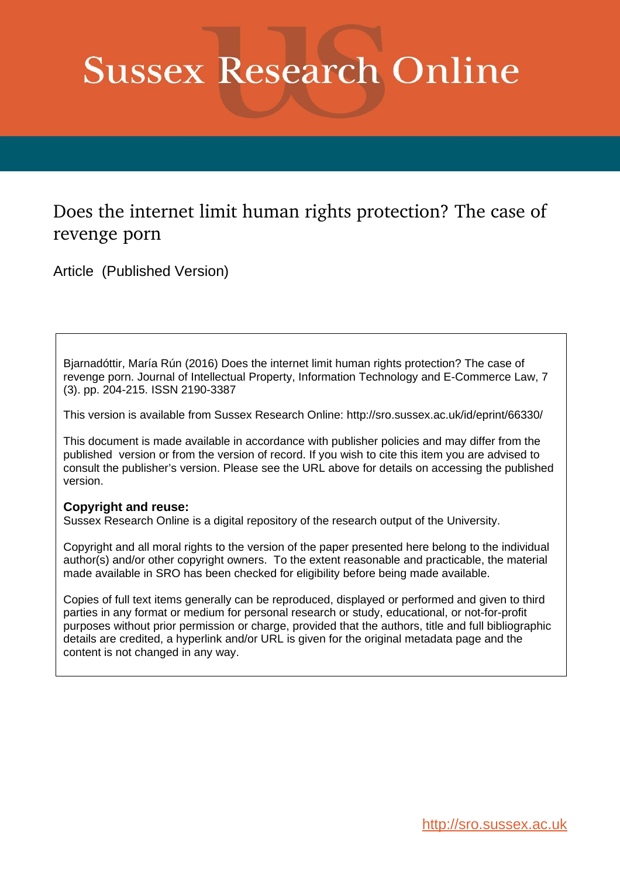# **Sussex Research Online**

### Does the internet limit human rights protection? The case of revenge porn

Article (Published Version)

Bjarnadóttir, María Rún (2016) Does the internet limit human rights protection? The case of revenge porn. Journal of Intellectual Property, Information Technology and E-Commerce Law, 7 (3). pp. 204-215. ISSN 2190-3387

This version is available from Sussex Research Online: http://sro.sussex.ac.uk/id/eprint/66330/

This document is made available in accordance with publisher policies and may differ from the published version or from the version of record. If you wish to cite this item you are advised to consult the publisher's version. Please see the URL above for details on accessing the published version.

#### **Copyright and reuse:**

Sussex Research Online is a digital repository of the research output of the University.

Copyright and all moral rights to the version of the paper presented here belong to the individual author(s) and/or other copyright owners. To the extent reasonable and practicable, the material made available in SRO has been checked for eligibility before being made available.

Copies of full text items generally can be reproduced, displayed or performed and given to third parties in any format or medium for personal research or study, educational, or not-for-profit purposes without prior permission or charge, provided that the authors, title and full bibliographic details are credited, a hyperlink and/or URL is given for the original metadata page and the content is not changed in any way.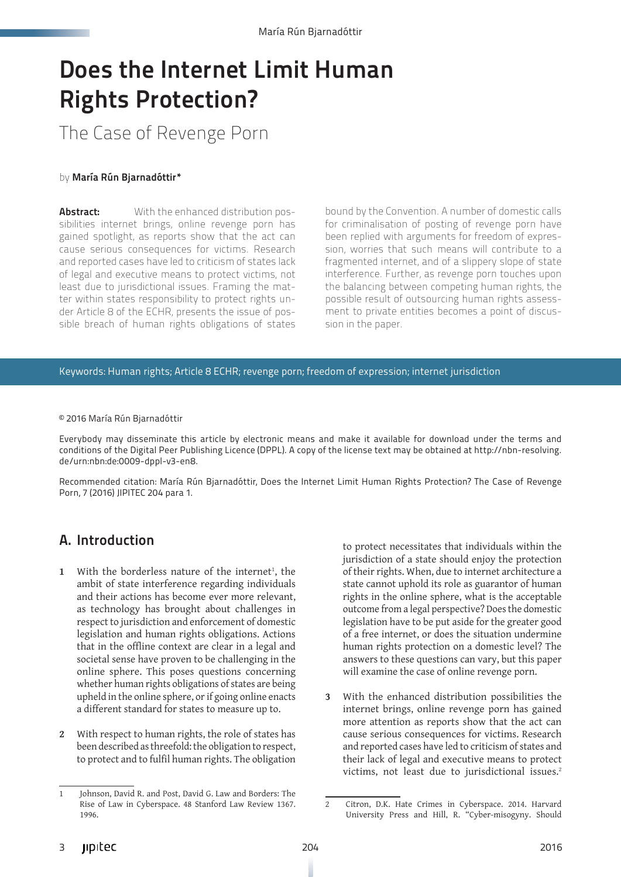# Does the Internet Limit Human Rights Protection?

## The Case of Revenge Porn

#### by María Rún Bjarnadóttir\*

**Abstract:** With the enhanced distribution possibilities internet brings, online revenge porn has gained spotlight, as reports show that the act can cause serious consequences for victims. Research and reported cases have led to criticism of states lack of legal and executive means to protect victims, not least due to jurisdictional issues. Framing the matter within states responsibility to protect rights under Article 8 of the ECHR, presents the issue of possible breach of human rights obligations of states

bound by the Convention. A number of domestic calls for criminalisation of posting of revenge porn have been replied with arguments for freedom of expression, worries that such means will contribute to a fragmented internet, and of a slippery slope of state interference. Further, as revenge porn touches upon the balancing between competing human rights, the possible result of outsourcing human rights assessment to private entities becomes a point of discussion in the paper.

Keywords: Human rights; Article 8 ECHR; revenge porn; freedom of expression; internet jurisdiction

#### © 2016 María Rún Bjarnadóttir

Everybody may disseminate this article by electronic means and make it available for download under the terms and conditions of the Digital Peer Publishing Licence (DPPL). A copy of the license text may be obtained at [http://nbn-resolving.](http://nbn-resolving.de/urn:nbn:de:0009-dppl-v3-en8) [de/urn:nbn:de:0009-dppl-v3-en8.](http://nbn-resolving.de/urn:nbn:de:0009-dppl-v3-en8)

Recommended citation: María Rún Bjarnadóttir, Does the Internet Limit Human Rights Protection? The Case of Revenge Porn, 7 (2016) JIPITEC 204 para 1.

#### A. Introduction

- 1 With the borderless nature of the internet<sup>1</sup>, the ambit of state interference regarding individuals and their actions has become ever more relevant, as technology has brought about challenges in respect to jurisdiction and enforcement of domestic legislation and human rights obligations. Actions that in the offline context are clear in a legal and societal sense have proven to be challenging in the online sphere. This poses questions concerning whether human rights obligations of states are being upheld in the online sphere, or if going online enacts a different standard for states to measure up to.
- **2** With respect to human rights, the role of states has been described as threefold: the obligation to respect, to protect and to fulfil human rights. The obligation

to protect necessitates that individuals within the jurisdiction of a state should enjoy the protection of their rights. When, due to internet architecture a state cannot uphold its role as guarantor of human rights in the online sphere, what is the acceptable outcome from a legal perspective? Does the domestic legislation have to be put aside for the greater good of a free internet, or does the situation undermine human rights protection on a domestic level? The answers to these questions can vary, but this paper will examine the case of online revenge porn.

**3** With the enhanced distribution possibilities the internet brings, online revenge porn has gained more attention as reports show that the act can cause serious consequences for victims. Research and reported cases have led to criticism of states and their lack of legal and executive means to protect victims, not least due to jurisdictional issues.<sup>2</sup>

<sup>1</sup> Johnson, David R. and Post, David G. Law and Borders: The Rise of Law in Cyberspace. 48 Stanford Law Review 1367. 1996.

<sup>2</sup> Citron, D.K. Hate Crimes in Cyberspace. 2014. Harvard University Press and Hill, R. "Cyber-misogyny. Should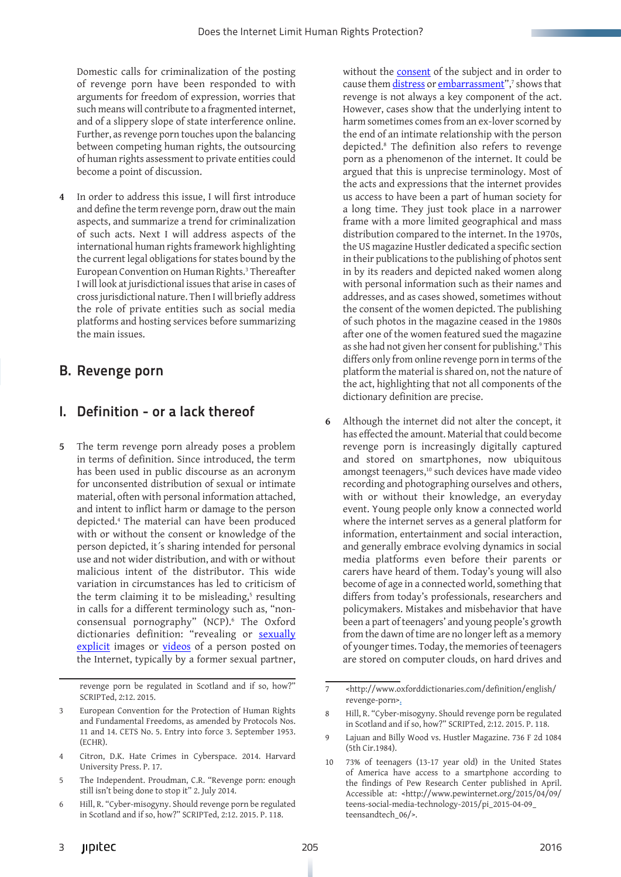Domestic calls for criminalization of the posting of revenge porn have been responded to with arguments for freedom of expression, worries that such means will contribute to a fragmented internet, and of a slippery slope of state interference online. Further, as revenge porn touches upon the balancing between competing human rights, the outsourcing of human rights assessment to private entities could become a point of discussion.

**4** In order to address this issue, I will first introduce and define the term revenge porn, draw out the main aspects, and summarize a trend for criminalization of such acts. Next I will address aspects of the international human rights framework highlighting the current legal obligations for states bound by the European Convention on Human Rights.3 Thereafter I will look at jurisdictional issues that arise in cases of cross jurisdictional nature. Then I will briefly address the role of private entities such as social media platforms and hosting services before summarizing the main issues.

#### B. Revenge porn

#### I. Definition - or a lack thereof

**5** The term revenge porn already poses a problem in terms of definition. Since introduced, the term has been used in public discourse as an acronym for unconsented distribution of sexual or intimate material, often with personal information attached, and intent to inflict harm or damage to the person depicted.4 The material can have been produced with or without the consent or knowledge of the person depicted, it´s sharing intended for personal use and not wider distribution, and with or without malicious intent of the distributor. This wide variation in circumstances has led to criticism of the term claiming it to be misleading,<sup>5</sup> resulting in calls for a different terminology such as, "nonconsensual pornography" (NCP).6 The Oxford dictionaries definition: "revealing or [sexually](http://www.oxforddictionaries.com/definition/english/sexually%23sexually__2) [explicit](http://www.oxforddictionaries.com/definition/english/explicit%23explicit__2) images or [videos](http://www.oxforddictionaries.com/definition/english/video%23video__4) of a person posted on the Internet, typically by a former sexual partner,

revenge porn be regulated in Scotland and if so, how?" SCRIPTed, 2:12. 2015.

without the **[consent](http://www.oxforddictionaries.com/definition/english/consent%23consent__2)** of the subject and in order to cause them <u>distress</u> or <u>embarrassment</u>",<sup>7</sup> shows that revenge is not always a key component of the act. However, cases show that the underlying intent to harm sometimes comes from an ex-lover scorned by the end of an intimate relationship with the person depicted.8 The definition also refers to revenge porn as a phenomenon of the internet. It could be argued that this is unprecise terminology. Most of the acts and expressions that the internet provides us access to have been a part of human society for a long time. They just took place in a narrower frame with a more limited geographical and mass distribution compared to the internet. In the 1970s, the US magazine Hustler dedicated a specific section in their publications to the publishing of photos sent in by its readers and depicted naked women along with personal information such as their names and addresses, and as cases showed, sometimes without the consent of the women depicted. The publishing of such photos in the magazine ceased in the 1980s after one of the women featured sued the magazine as she had not given her consent for publishing.<sup>9</sup> This differs only from online revenge porn in terms of the platform the material is shared on, not the nature of the act, highlighting that not all components of the dictionary definition are precise.

**6** Although the internet did not alter the concept, it has effected the amount. Material that could become revenge porn is increasingly digitally captured and stored on smartphones, now ubiquitous amongst teenagers,<sup>10</sup> such devices have made video recording and photographing ourselves and others, with or without their knowledge, an everyday event. Young people only know a connected world where the internet serves as a general platform for information, entertainment and social interaction, and generally embrace evolving dynamics in social media platforms even before their parents or carers have heard of them. Today's young will also become of age in a connected world, something that differs from today's professionals, researchers and policymakers. Mistakes and misbehavior that have been a part of teenagers' and young people's growth from the dawn of time are no longer left as a memory of younger times. Today, the memories of teenagers are stored on computer clouds, on hard drives and

European Convention for the Protection of Human Rights and Fundamental Freedoms, as amended by Protocols Nos. 11 and 14. CETS No. 5. Entry into force 3. September 1953. (ECHR).

<sup>4</sup> Citron, D.K. Hate Crimes in Cyberspace. 2014. Harvard University Press. P. 17.

<sup>5</sup> The Independent. Proudman, C.R. "Revenge porn: enough still isn't being done to stop it" 2. July 2014.

<sup>6</sup> Hill, R. "Cyber-misogyny. Should revenge porn be regulated in Scotland and if so, how?" SCRIPTed, 2:12. 2015. P. 118.

<sup>7</sup> <http://www.oxforddictionaries.com/definition/english/ revenge-porn>.

<sup>8</sup> Hill, R. "Cyber-misogyny. Should revenge porn be regulated in Scotland and if so, how?" SCRIPTed, 2:12. 2015. P. 118.

<sup>9</sup> Lajuan and Billy Wood vs. Hustler Magazine. 736 F 2d 1084 (5th Cir.1984).

<sup>10</sup> 73% of teenagers (13-17 year old) in the United States of America have access to a smartphone according to the findings of Pew Research Center published in April. Accessible at: <http://www.pewinternet.org/2015/04/09/ teens-social-media-technology-2015/pi\_2015-04-09\_ teensandtech\_06/>.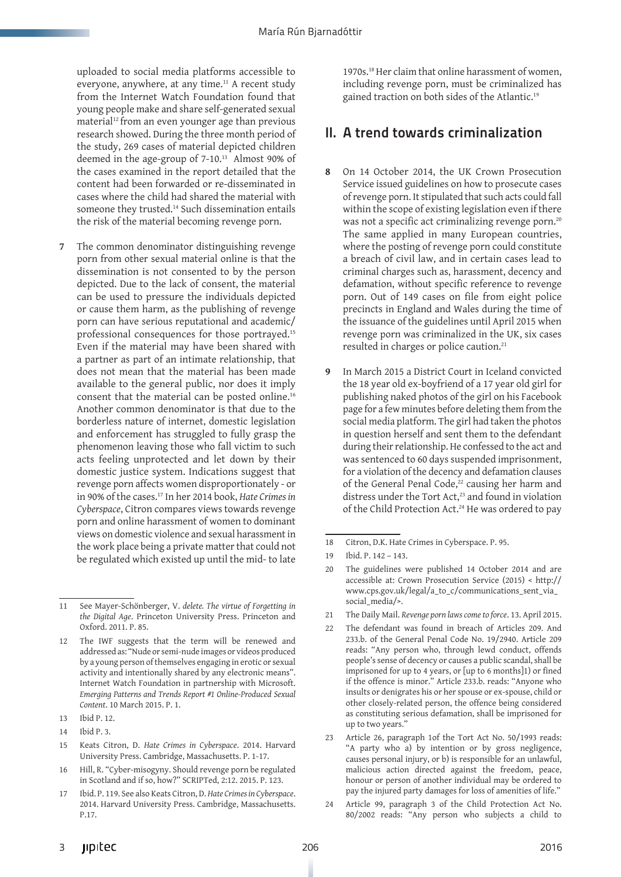uploaded to social media platforms accessible to everyone, anywhere, at any time.<sup>11</sup> A recent study from the Internet Watch Foundation found that young people make and share self-generated sexual material<sup>12</sup> from an even younger age than previous research showed. During the three month period of the study, 269 cases of material depicted children deemed in the age-group of 7-10.<sup>13</sup> Almost 90% of the cases examined in the report detailed that the content had been forwarded or re-disseminated in cases where the child had shared the material with someone they trusted.<sup>14</sup> Such dissemination entails the risk of the material becoming revenge porn.

**7** The common denominator distinguishing revenge porn from other sexual material online is that the dissemination is not consented to by the person depicted. Due to the lack of consent, the material can be used to pressure the individuals depicted or cause them harm, as the publishing of revenge porn can have serious reputational and academic/ professional consequences for those portrayed.15 Even if the material may have been shared with a partner as part of an intimate relationship, that does not mean that the material has been made available to the general public, nor does it imply consent that the material can be posted online.16 Another common denominator is that due to the borderless nature of internet, domestic legislation and enforcement has struggled to fully grasp the phenomenon leaving those who fall victim to such acts feeling unprotected and let down by their domestic justice system. Indications suggest that revenge porn affects women disproportionately - or in 90% of the cases.17 In her 2014 book, *Hate Crimes in Cyberspace*, Citron compares views towards revenge porn and online harassment of women to dominant views on domestic violence and sexual harassment in the work place being a private matter that could not be regulated which existed up until the mid- to late

1970s.18 Her claim that online harassment of women, including revenge porn, must be criminalized has gained traction on both sides of the Atlantic.<sup>19</sup>

#### II. A trend towards criminalization

- **8** On 14 October 2014, the UK Crown Prosecution Service issued guidelines on how to prosecute cases of revenge porn. It stipulated that such acts could fall within the scope of existing legislation even if there was not a specific act criminalizing revenge porn.<sup>20</sup> The same applied in many European countries, where the posting of revenge porn could constitute a breach of civil law, and in certain cases lead to criminal charges such as, harassment, decency and defamation, without specific reference to revenge porn. Out of 149 cases on file from eight police precincts in England and Wales during the time of the issuance of the guidelines until April 2015 when revenge porn was criminalized in the UK, six cases resulted in charges or police caution.21
- **9** In March 2015 a District Court in Iceland convicted the 18 year old ex-boyfriend of a 17 year old girl for publishing naked photos of the girl on his Facebook page for a few minutes before deleting them from the social media platform. The girl had taken the photos in question herself and sent them to the defendant during their relationship. He confessed to the act and was sentenced to 60 days suspended imprisonment, for a violation of the decency and defamation clauses of the General Penal Code,<sup>22</sup> causing her harm and distress under the Tort Act,<sup>23</sup> and found in violation of the Child Protection Act.24 He was ordered to pay

<sup>11</sup> See Mayer-Schönberger, V. *delete. The virtue of Forgetting in the Digital Age*. Princeton University Press. Princeton and Oxford. 2011. P. 85.

<sup>12</sup> The IWF suggests that the term will be renewed and addressed as: "Nude or semi-nude images or videos produced by a young person of themselves engaging in erotic or sexual activity and intentionally shared by any electronic means". Internet Watch Foundation in partnership with Microsoft. *Emerging Patterns and Trends Report #1 Online-Produced Sexual Content*. 10 March 2015. P. 1.

<sup>13</sup> Ibid P. 12.

<sup>14</sup> Ibid P. 3.

<sup>15</sup> Keats Citron, D. *Hate Crimes in Cyberspace*. 2014. Harvard University Press. Cambridge, Massachusetts. P. 1-17.

<sup>16</sup> Hill, R. "Cyber-misogyny. Should revenge porn be regulated in Scotland and if so, how?" SCRIPTed, 2:12. 2015. P. 123.

<sup>17</sup> Ibid. P. 119. See also Keats Citron, D. *Hate Crimes in Cyberspace*. 2014. Harvard University Press. Cambridge, Massachusetts. P.17.

<sup>18</sup> Citron, D.K. Hate Crimes in Cyberspace. P. 95.

<sup>19</sup> Ibid. P. 142 – 143.

<sup>20</sup> The guidelines were published 14 October 2014 and are accessible at: Crown Prosecution Service (2015) < http:// www.cps.gov.uk/legal/a\_to\_c/communications\_sent\_via\_ social\_media/>.

<sup>21</sup> The Daily Mail. *Revenge porn laws come to force*. 13. April 2015.

<sup>22</sup> The defendant was found in breach of Articles 209. And 233.b. of the General Penal Code No. 19/2940. Article 209 reads: "Any person who, through lewd conduct, offends people's sense of decency or causes a public scandal, shall be imprisoned for up to 4 years, or [up to 6 months]1) or fined if the offence is minor." Article 233.b. reads: "Anyone who insults or denigrates his or her spouse or ex-spouse, child or other closely-related person, the offence being considered as constituting serious defamation, shall be imprisoned for up to two years.'

<sup>23</sup> Article 26, paragraph 1of the Tort Act No. 50/1993 reads: "A party who a) by intention or by gross negligence, causes personal injury, or b) is responsible for an unlawful, malicious action directed against the freedom, peace, honour or person of another individual may be ordered to pay the injured party damages for loss of amenities of life."

<sup>24</sup> Article 99, paragraph 3 of the Child Protection Act No. 80/2002 reads: "Any person who subjects a child to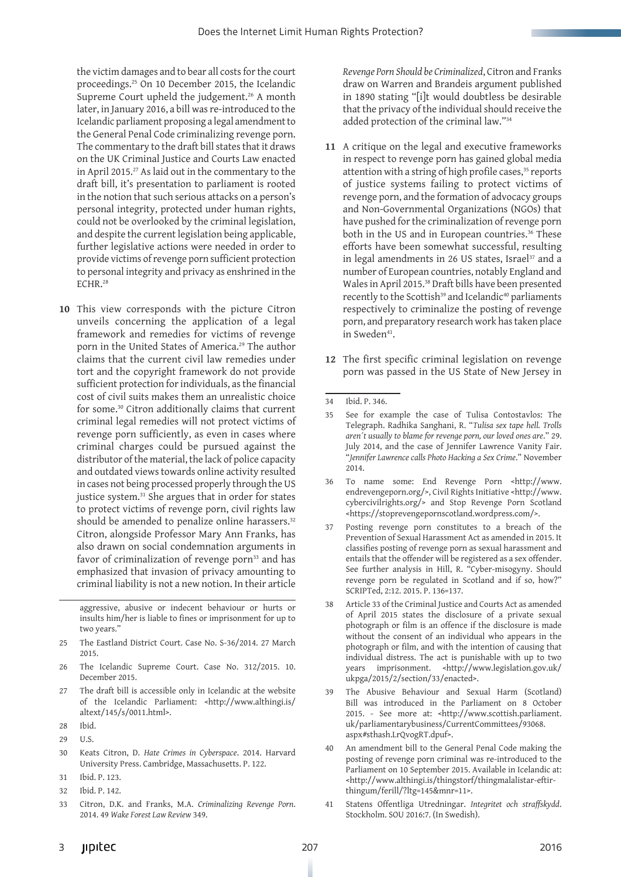the victim damages and to bear all costs for the court proceedings.25 On 10 December 2015, the Icelandic Supreme Court upheld the judgement.<sup>26</sup> A month later, in January 2016, a bill was re-introduced to the Icelandic parliament proposing a legal amendment to the General Penal Code criminalizing revenge porn. The commentary to the draft bill states that it draws on the UK Criminal Justice and Courts Law enacted in April 2015.<sup>27</sup> As laid out in the commentary to the draft bill, it's presentation to parliament is rooted in the notion that such serious attacks on a person's personal integrity, protected under human rights, could not be overlooked by the criminal legislation, and despite the current legislation being applicable, further legislative actions were needed in order to provide victims of revenge porn sufficient protection to personal integrity and privacy as enshrined in the ECHR.28

**10** This view corresponds with the picture Citron unveils concerning the application of a legal framework and remedies for victims of revenge porn in the United States of America.29 The author claims that the current civil law remedies under tort and the copyright framework do not provide sufficient protection for individuals, as the financial cost of civil suits makes them an unrealistic choice for some.30 Citron additionally claims that current criminal legal remedies will not protect victims of revenge porn sufficiently, as even in cases where criminal charges could be pursued against the distributor of the material, the lack of police capacity and outdated views towards online activity resulted in cases not being processed properly through the US justice system.<sup>31</sup> She argues that in order for states to protect victims of revenge porn, civil rights law should be amended to penalize online harassers.<sup>32</sup> Citron, alongside Professor Mary Ann Franks, has also drawn on social condemnation arguments in favor of criminalization of revenge porn<sup>33</sup> and has emphasized that invasion of privacy amounting to criminal liability is not a new notion. In their article

aggressive, abusive or indecent behaviour or hurts or insults him/her is liable to fines or imprisonment for up to two years.'

- 25 The Eastland District Court. Case No. S-36/2014. 27 March 2015.
- 26 The Icelandic Supreme Court. Case No. 312/2015. 10. December 2015.
- 27 The draft bill is accessible only in Icelandic at the website of the Icelandic Parliament: <http://www.althingi.is/ altext/145/s/0011.html>.
- 28 Ibid.
- 29 U.S.
- 30 Keats Citron, D. *Hate Crimes in Cyberspace*. 2014. Harvard University Press. Cambridge, Massachusetts. P. 122.
- 31 Ibid. P. 123.
- 32 Ibid. P. 142.
- 33 Citron, D.K. and Franks, M.A. *Criminalizing Revenge Porn*. 2014. 49 *Wake Forest Law Review* 349.

*Revenge Porn Should be Criminalized*, Citron and Franks draw on Warren and Brandeis argument published in 1890 stating "[i]t would doubtless be desirable that the privacy of the individual should receive the added protection of the criminal law."34

- **11** A critique on the legal and executive frameworks in respect to revenge porn has gained global media attention with a string of high profile cases, $35$  reports of justice systems failing to protect victims of revenge porn, and the formation of advocacy groups and Non-Governmental Organizations (NGOs) that have pushed for the criminalization of revenge porn both in the US and in European countries.<sup>36</sup> These efforts have been somewhat successful, resulting in legal amendments in 26 US states, Israel<sup>37</sup> and a number of European countries, notably England and Wales in April 2015.38 Draft bills have been presented recently to the Scottish<sup>39</sup> and Icelandic<sup>40</sup> parliaments respectively to criminalize the posting of revenge porn, and preparatory research work has taken place in Sweden<sup>41</sup>.
- **12** The first specific criminal legislation on revenge porn was passed in the US State of New Jersey in

- 36 To name some: End Revenge Porn <http://www. endrevengeporn.org/>, Civil Rights Initiative <http://www. cybercivilrights.org/> and Stop Revenge Porn Scotland <https://stoprevengepornscotland.wordpress.com/>.
- 37 Posting revenge porn constitutes to a breach of the Prevention of Sexual Harassment Act as amended in 2015. It classifies posting of revenge porn as sexual harassment and entails that the offender will be registered as a sex offender. See further analysis in Hill, R. "Cyber-misogyny. Should revenge porn be regulated in Scotland and if so, how?" SCRIPTed, 2:12. 2015. P. 136=137.
- Article 33 of the Criminal Justice and Courts Act as amended of April 2015 states the disclosure of a private sexual photograph or film is an offence if the disclosure is made without the consent of an individual who appears in the photograph or film, and with the intention of causing that individual distress. The act is punishable with up to two years imprisonment. <http://www.legislation.gov.uk/ ukpga/2015/2/section/33/enacted>.
- 39 The Abusive Behaviour and Sexual Harm (Scotland) Bill was introduced in the Parliament on 8 October 2015. - See more at: <http://www.scottish.parliament. uk/parliamentarybusiness/CurrentCommittees/93068. aspx#sthash.LrQvogRT.dpuf>.
- 40 An amendment bill to the General Penal Code making the posting of revenge porn criminal was re-introduced to the Parliament on 10 September 2015. Available in Icelandic at: <http://www.althingi.is/thingstorf/thingmalalistar-eftirthingum/ferill/?ltg=145&mnr=11>.
- 41 Statens Offentliga Utredningar. *Integritet och straffskydd*. Stockholm. SOU 2016:7. (In Swedish).

<sup>34</sup> Ibid. P. 346.

<sup>35</sup> See for example the case of Tulisa Contostavlos: The Telegraph. Radhika Sanghani, R. "*Tulisa sex tape hell. Trolls aren´t usually to blame for revenge porn, our loved ones are*." 29. July 2014, and the case of Jennifer Lawrence Vanity Fair. "*Jennifer Lawrence calls Photo Hacking a Sex Crime*." November 2014.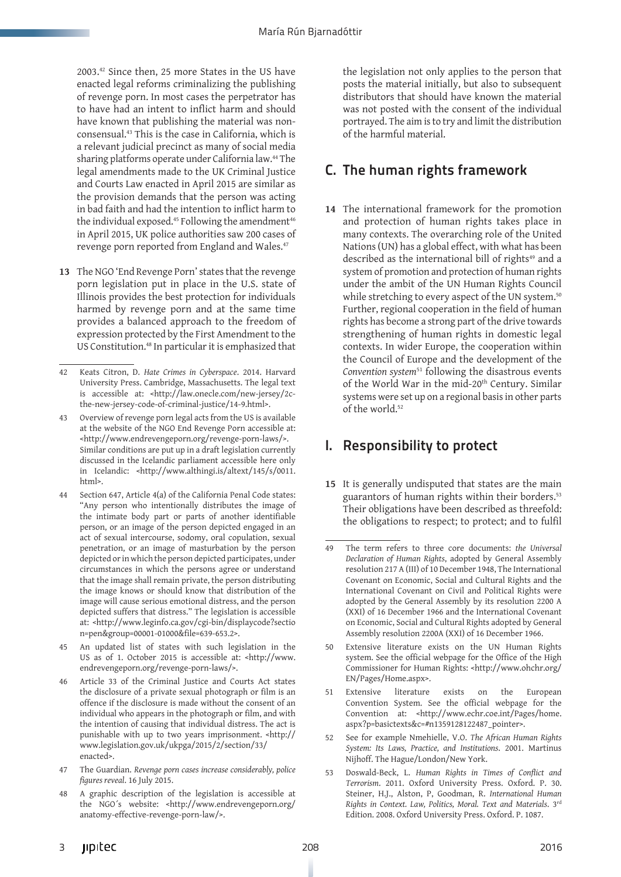2003.42 Since then, 25 more States in the US have enacted legal reforms criminalizing the publishing of revenge porn. In most cases the perpetrator has to have had an intent to inflict harm and should have known that publishing the material was nonconsensual.43 This is the case in California, which is a relevant judicial precinct as many of social media sharing platforms operate under California law.44 The legal amendments made to the UK Criminal Justice and Courts Law enacted in April 2015 are similar as the provision demands that the person was acting in bad faith and had the intention to inflict harm to the individual exposed.<sup>45</sup> Following the amendment<sup>46</sup> in April 2015, UK police authorities saw 200 cases of revenge porn reported from England and Wales.<sup>47</sup>

**13** The NGO 'End Revenge Porn' states that the revenge porn legislation put in place in the U.S. state of Illinois provides the best protection for individuals harmed by revenge porn and at the same time provides a balanced approach to the freedom of expression protected by the First Amendment to the US Constitution.48 In particular it is emphasized that

- Overview of revenge porn legal acts from the US is available at the website of the NGO End Revenge Porn accessible at: <http://www.endrevengeporn.org/revenge-porn-laws/>. Similar conditions are put up in a draft legislation currently discussed in the Icelandic parliament accessible here only in Icelandic: <http://www.althingi.is/altext/145/s/0011. html>.
- 44 Section 647, Article 4(a) of the California Penal Code states: "Any person who intentionally distributes the image of the intimate body part or parts of another identifiable person, or an image of the person depicted engaged in an act of sexual intercourse, sodomy, oral copulation, sexual penetration, or an image of masturbation by the person depicted or in which the person depicted participates, under circumstances in which the persons agree or understand that the image shall remain private, the person distributing the image knows or should know that distribution of the image will cause serious emotional distress, and the person depicted suffers that distress." The legislation is accessible at: <http://www.leginfo.ca.gov/cgi-bin/displaycode?sectio n=pen&group=00001-01000&file=639-653.2>.
- 45 An updated list of states with such legislation in the US as of 1. October 2015 is accessible at: <http://www. endrevengeporn.org/revenge-porn-laws/>.
- 46 Article 33 of the Criminal Justice and Courts Act states the disclosure of a private sexual photograph or film is an offence if the disclosure is made without the consent of an individual who appears in the photograph or film, and with the intention of causing that individual distress. The act is punishable with up to two years imprisonment. <http:// www.legislation.gov.uk/ukpga/2015/2/section/33/ enacted>.
- 47 The Guardian. *Revenge porn cases increase considerably, police figures reveal*. 16 July 2015.
- 48 A graphic description of the legislation is accessible at the NGO´s website: <http://www.endrevengeporn.org/ anatomy-effective-revenge-porn-law/>.

the legislation not only applies to the person that posts the material initially, but also to subsequent distributors that should have known the material was not posted with the consent of the individual portrayed. The aim is to try and limit the distribution of the harmful material.

#### C. The human rights framework

**14** The international framework for the promotion and protection of human rights takes place in many contexts. The overarching role of the United Nations (UN) has a global effect, with what has been described as the international bill of rights<sup>49</sup> and a system of promotion and protection of human rights under the ambit of the UN Human Rights Council while stretching to every aspect of the UN system.<sup>50</sup> Further, regional cooperation in the field of human rights has become a strong part of the drive towards strengthening of human rights in domestic legal contexts. In wider Europe, the cooperation within the Council of Europe and the development of the *Convention system*51 following the disastrous events of the World War in the mid-20<sup>th</sup> Century. Similar systems were set up on a regional basis in other parts of the world.<sup>52</sup>

#### I. Responsibility to protect

**15** It is generally undisputed that states are the main guarantors of human rights within their borders.<sup>53</sup> Their obligations have been described as threefold: the obligations to respect; to protect; and to fulfil

- 50 Extensive literature exists on the UN Human Rights system. See the official webpage for the Office of the High Commissioner for Human Rights: <http://www.ohchr.org/ EN/Pages/Home.aspx>.
- 51 Extensive literature exists on the European Convention System. See the official webpage for the Convention at: <http://www.echr.coe.int/Pages/home. aspx?p=basictexts&c=#n1359128122487\_pointer>.
- 52 See for example Nmehielle, V.O. *The African Human Rights System: Its Laws, Practice, and Institutions*. 2001. Martinus Nijhoff. The Hague/London/New York.
- 53 Doswald-Beck, L. *Human Rights in Times of Conflict and Terrorism*. 2011. Oxford University Press. Oxford. P. 30. Steiner, H.J., Alston, P, Goodman, R. *International Human Rights in Context. Law, Politics, Moral. Text and Materials*. 3rd Edition. 2008. Oxford University Press. Oxford. P. 1087.

<sup>42</sup> Keats Citron, D. *Hate Crimes in Cyberspace*. 2014. Harvard University Press. Cambridge, Massachusetts. The legal text is accessible at: <http://law.onecle.com/new-jersey/2cthe-new-jersey-code-of-criminal-justice/14-9.html>.

<sup>49</sup> The term refers to three core documents: *the Universal Declaration of Human Rights*, adopted by General Assembly resolution 217 A (III) of 10 December 1948, The International Covenant on Economic, Social and Cultural Rights and the International Covenant on Civil and Political Rights were adopted by the General Assembly by its resolution 2200 A (XXI) of 16 December 1966 and the International Covenant on Economic, Social and Cultural Rights adopted by General Assembly resolution 2200A (XXI) of 16 December 1966.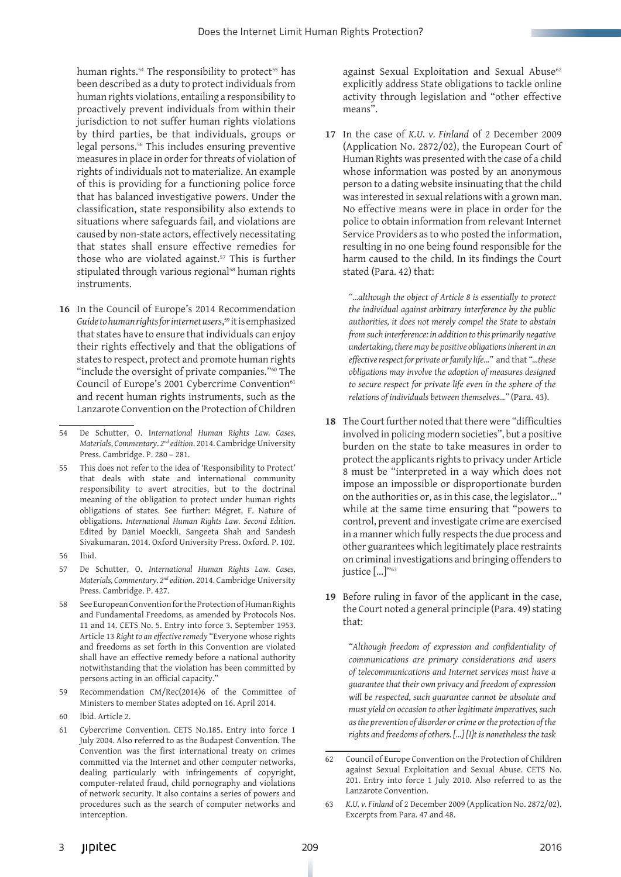human rights.<sup>54</sup> The responsibility to protect<sup>55</sup> has been described as a duty to protect individuals from human rights violations, entailing a responsibility to proactively prevent individuals from within their jurisdiction to not suffer human rights violations by third parties, be that individuals, groups or legal persons.56 This includes ensuring preventive measures in place in order for threats of violation of rights of individuals not to materialize. An example of this is providing for a functioning police force that has balanced investigative powers. Under the classification, state responsibility also extends to situations where safeguards fail, and violations are caused by non-state actors, effectively necessitating that states shall ensure effective remedies for those who are violated against.<sup>57</sup> This is further stipulated through various regional<sup>58</sup> human rights instruments.

**16** In the Council of Europe's 2014 Recommendation *Guide to human rights for internet users*, 59 it is emphasized that states have to ensure that individuals can enjoy their rights effectively and that the obligations of states to respect, protect and promote human rights "include the oversight of private companies."60 The Council of Europe's 2001 Cybercrime Convention<sup>61</sup> and recent human rights instruments, such as the Lanzarote Convention on the Protection of Children

- 55 This does not refer to the idea of 'Responsibility to Protect' that deals with state and international community responsibility to avert atrocities, but to the doctrinal meaning of the obligation to protect under human rights obligations of states. See further: Mégret, F. Nature of obligations. *International Human Rights Law. Second Edition*. Edited by Daniel Moeckli, Sangeeta Shah and Sandesh Sivakumaran. 2014. Oxford University Press. Oxford. P. 102.
- 56 Ibid.
- 57 De Schutter, O. *International Human Rights Law. Cases, Materials, Commentary. 2nd edition*. 2014. Cambridge University Press. Cambridge. P. 427.
- 58 See European Convention for the Protection of Human Rights and Fundamental Freedoms, as amended by Protocols Nos. 11 and 14. CETS No. 5. Entry into force 3. September 1953. Article 13 *Right to an effective remedy* "Everyone whose rights and freedoms as set forth in this Convention are violated shall have an effective remedy before a national authority notwithstanding that the violation has been committed by persons acting in an official capacity."
- 59 Recommendation CM/Rec(2014)6 of the Committee of Ministers to member States adopted on 16. April 2014.
- 60 Ibid. Article 2.
- 61 Cybercrime Convention. CETS No.185. Entry into force 1 July 2004. Also referred to as the Budapest Convention. The Convention was the first international treaty on crimes committed via the Internet and other computer networks, dealing particularly with infringements of copyright, computer-related fraud, child pornography and violations of network security. It also contains a series of powers and procedures such as the search of computer networks and interception.

against Sexual Exploitation and Sexual Abuse<sup>62</sup> explicitly address State obligations to tackle online activity through legislation and "other effective means".

**17** In the case of *K.U. v. Finland* of 2 December 2009 (Application No. 2872/02), the European Court of Human Rights was presented with the case of a child whose information was posted by an anonymous person to a dating website insinuating that the child was interested in sexual relations with a grown man. No effective means were in place in order for the police to obtain information from relevant Internet Service Providers as to who posted the information, resulting in no one being found responsible for the harm caused to the child. In its findings the Court stated (Para. 42) that:

*"…although the object of Article 8 is essentially to protect the individual against arbitrary interference by the public authorities, it does not merely compel the State to abstain from such interference: in addition to this primarily negative undertaking, there may be positive obligations inherent in an effective respect for private or family life…"* and that *"…these obligations may involve the adoption of measures designed to secure respect for private life even in the sphere of the relations of individuals between themselves…"* (Para. 43).

- **18** The Court further noted that there were "difficulties involved in policing modern societies", but a positive burden on the state to take measures in order to protect the applicants rights to privacy under Article 8 must be "interpreted in a way which does not impose an impossible or disproportionate burden on the authorities or, as in this case, the legislator…" while at the same time ensuring that "powers to control, prevent and investigate crime are exercised in a manner which fully respects the due process and other guarantees which legitimately place restraints on criminal investigations and bringing offenders to justice […]"63
- **19** Before ruling in favor of the applicant in the case, the Court noted a general principle (Para. 49) stating that:

*"Although freedom of expression and confidentiality of communications are primary considerations and users of telecommunications and Internet services must have a guarantee that their own privacy and freedom of expression will be respected, such guarantee cannot be absolute and must yield on occasion to other legitimate imperatives, such as the prevention of disorder or crime or the protection of the rights and freedoms of others. […] [I]t is nonetheless the task* 

<sup>54</sup> De Schutter, O. I*nternational Human Rights Law. Cases, Materials*, *Commentary*. *2nd edition*. 2014. Cambridge University Press. Cambridge. P. 280 – 281.

<sup>62</sup> Council of Europe Convention on the Protection of Children against Sexual Exploitation and Sexual Abuse. CETS No. 201. Entry into force 1 July 2010. Also referred to as the Lanzarote Convention.

<sup>63</sup> *K.U. v. Finland* of 2 December 2009 (Application No. 2872/02). Excerpts from Para. 47 and 48.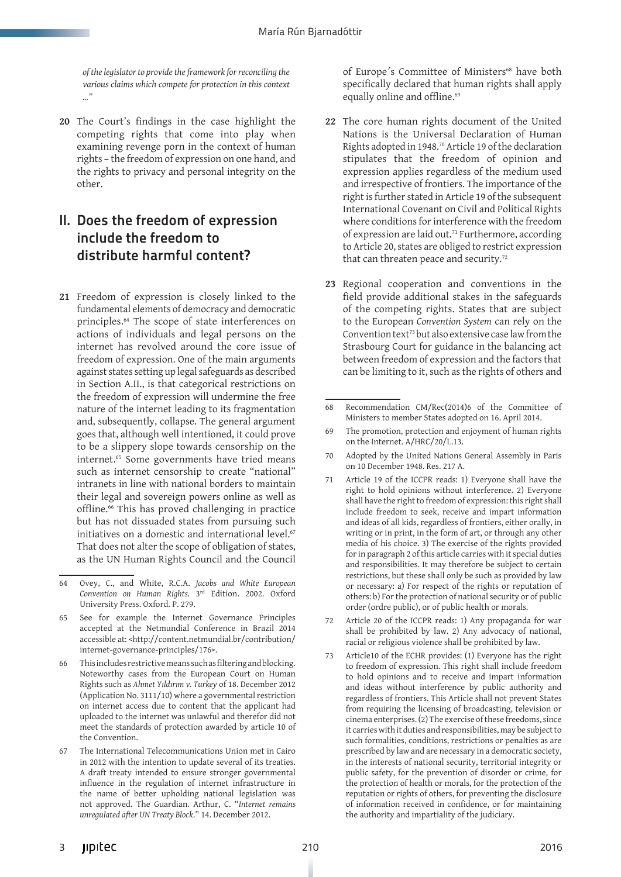*of the legislator to provide the framework for reconciling the various claims which compete for protection in this context …"*

**20** The Court's findings in the case highlight the competing rights that come into play when examining revenge porn in the context of human rights – the freedom of expression on one hand, and the rights to privacy and personal integrity on the other.

#### II. Does the freedom of expression include the freedom to distribute harmful content?

**21** Freedom of expression is closely linked to the fundamental elements of democracy and democratic principles.64 The scope of state interferences on actions of individuals and legal persons on the internet has revolved around the core issue of freedom of expression. One of the main arguments against states setting up legal safeguards as described in Section A.II., is that categorical restrictions on the freedom of expression will undermine the free nature of the internet leading to its fragmentation and, subsequently, collapse. The general argument goes that, although well intentioned, it could prove to be a slippery slope towards censorship on the internet.<sup>65</sup> Some governments have tried means such as internet censorship to create "national" intranets in line with national borders to maintain their legal and sovereign powers online as well as offline.66 This has proved challenging in practice but has not dissuaded states from pursuing such initiatives on a domestic and international level.<sup>67</sup> That does not alter the scope of obligation of states, as the UN Human Rights Council and the Council of Europe's Committee of Ministers<sup>68</sup> have both specifically declared that human rights shall apply equally online and offline.<sup>69</sup>

- **22** The core human rights document of the United Nations is the Universal Declaration of Human Rights adopted in 1948.70 Article 19 of the declaration stipulates that the freedom of opinion and expression applies regardless of the medium used and irrespective of frontiers. The importance of the right is further stated in Article 19 of the subsequent International Covenant on Civil and Political Rights where conditions for interference with the freedom of expression are laid out.71 Furthermore, according to Article 20, states are obliged to restrict expression that can threaten peace and security.<sup>72</sup>
- **23** Regional cooperation and conventions in the field provide additional stakes in the safeguards of the competing rights. States that are subject to the European *Convention System* can rely on the Convention text<sup>73</sup> but also extensive case law from the Strasbourg Court for guidance in the balancing act between freedom of expression and the factors that can be limiting to it, such as the rights of others and

- 71 Article 19 of the ICCPR reads: 1) Everyone shall have the right to hold opinions without interference. 2) Everyone shall have the right to freedom of expression: this right shall include freedom to seek, receive and impart information and ideas of all kids, regardless of frontiers, either orally, in writing or in print, in the form of art, or through any other media of his choice. 3) The exercise of the rights provided for in paragraph 2 of this article carries with it special duties and responsibilities. It may therefore be subject to certain restrictions, but these shall only be such as provided by law or necessary: a) For respect of the rights or reputation of others: b) For the protection of national security or of public order (ordre public), or of public health or morals.
- 72 Article 20 of the ICCPR reads: 1) Any propaganda for war shall be prohibited by law. 2) Any advocacy of national, racial or religious violence shall be prohibited by law.
- 73 Article10 of the ECHR provides: (1) Everyone has the right to freedom of expression. This right shall include freedom to hold opinions and to receive and impart information and ideas without interference by public authority and regardless of frontiers. This Article shall not prevent States from requiring the licensing of broadcasting, television or cinema enterprises. (2) The exercise of these freedoms, since it carries with it duties and responsibilities, may be subject to such formalities, conditions, restrictions or penalties as are prescribed by law and are necessary in a democratic society, in the interests of national security, territorial integrity or public safety, for the prevention of disorder or crime, for the protection of health or morals, for the protection of the reputation or rights of others, for preventing the disclosure of information received in confidence, or for maintaining the authority and impartiality of the judiciary.

<sup>64</sup> Ovey, C., and White, R.C.A. *Jacobs and White European Convention on Human Rights.* 3rd Edition. 2002. Oxford University Press. Oxford. P. 279.

<sup>65</sup> See for example the Internet Governance Principles accepted at the Netmundial Conference in Brazil 2014 accessible at: <http://content.netmundial.br/contribution/ internet-governance-principles/176>.

This includes restrictive means such as filtering and blocking. Noteworthy cases from the European Court on Human Rights such as *Ahmet Yıldırım v. Turkey* of 18. December 2012 (Application No. 3111/10) where a governmental restriction on internet access due to content that the applicant had uploaded to the internet was unlawful and therefor did not meet the standards of protection awarded by article 10 of the Convention.

<sup>67</sup> The International Telecommunications Union met in Cairo in 2012 with the intention to update several of its treaties. A draft treaty intended to ensure stronger governmental influence in the regulation of internet infrastructure in the name of better upholding national legislation was not approved. The Guardian. Arthur, C. "*Internet remains unregulated after UN Treaty Block*." 14. December 2012.

<sup>68</sup> Recommendation CM/Rec(2014)6 of the Committee of Ministers to member States adopted on 16. April 2014.

<sup>69</sup> The promotion, protection and enjoyment of human rights on the Internet. A/HRC/20/L.13.

<sup>70</sup> Adopted by the United Nations General Assembly in Paris on 10 December 1948. Res. 217 A.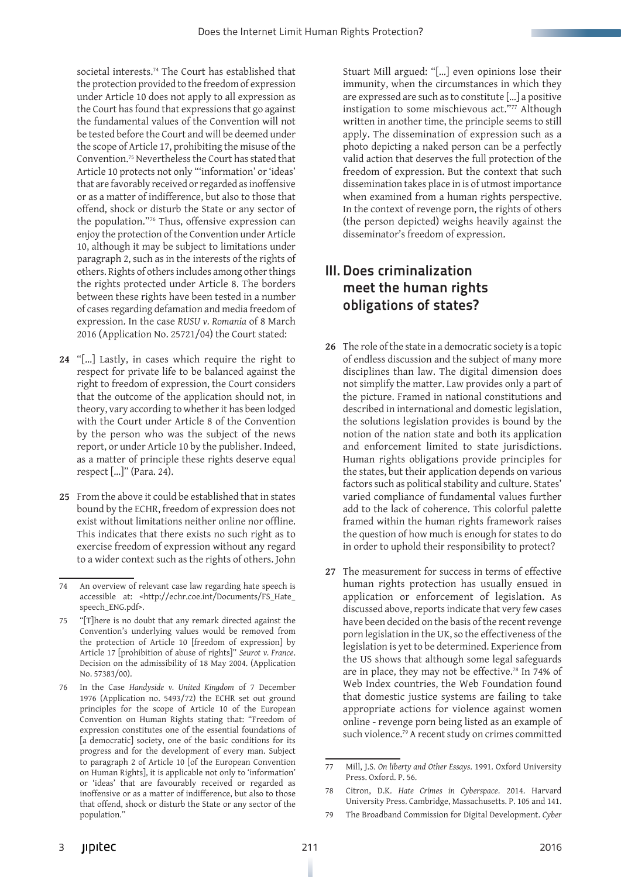societal interests.74 The Court has established that the protection provided to the freedom of expression under Article 10 does not apply to all expression as the Court has found that expressions that go against the fundamental values of the Convention will not be tested before the Court and will be deemed under the scope of Article 17, prohibiting the misuse of the Convention.75 Nevertheless the Court has stated that Article 10 protects not only "'information' or 'ideas' that are favorably received or regarded as inoffensive or as a matter of indifference, but also to those that offend, shock or disturb the State or any sector of the population."76 Thus, offensive expression can enjoy the protection of the Convention under Article 10, although it may be subject to limitations under paragraph 2, such as in the interests of the rights of others. Rights of others includes among other things the rights protected under Article 8. The borders between these rights have been tested in a number of cases regarding defamation and media freedom of expression. In the case *RUSU v. Romania* of 8 March 2016 (Application No. 25721/04) the Court stated:

- **24** "[…] Lastly, in cases which require the right to respect for private life to be balanced against the right to freedom of expression, the Court considers that the outcome of the application should not, in theory, vary according to whether it has been lodged with the Court under Article 8 of the Convention by the person who was the subject of the news report, or under Article 10 by the publisher. Indeed, as a matter of principle these rights deserve equal respect […]" (Para. 24).
- **25** From the above it could be established that in states bound by the ECHR, freedom of expression does not exist without limitations neither online nor offline. This indicates that there exists no such right as to exercise freedom of expression without any regard to a wider context such as the rights of others. John

Stuart Mill argued: "[…] even opinions lose their immunity, when the circumstances in which they are expressed are such as to constitute […] a positive instigation to some mischievous act."77 Although written in another time, the principle seems to still apply. The dissemination of expression such as a photo depicting a naked person can be a perfectly valid action that deserves the full protection of the freedom of expression. But the context that such dissemination takes place in is of utmost importance when examined from a human rights perspective. In the context of revenge porn, the rights of others (the person depicted) weighs heavily against the disseminator's freedom of expression.

#### III. Does criminalization meet the human rights obligations of states?

- **26** The role of the state in a democratic society is a topic of endless discussion and the subject of many more disciplines than law. The digital dimension does not simplify the matter. Law provides only a part of the picture. Framed in national constitutions and described in international and domestic legislation, the solutions legislation provides is bound by the notion of the nation state and both its application and enforcement limited to state jurisdictions. Human rights obligations provide principles for the states, but their application depends on various factors such as political stability and culture. States' varied compliance of fundamental values further add to the lack of coherence. This colorful palette framed within the human rights framework raises the question of how much is enough for states to do in order to uphold their responsibility to protect?
- **27** The measurement for success in terms of effective human rights protection has usually ensued in application or enforcement of legislation. As discussed above, reports indicate that very few cases have been decided on the basis of the recent revenge porn legislation in the UK, so the effectiveness of the legislation is yet to be determined. Experience from the US shows that although some legal safeguards are in place, they may not be effective.78 In 74% of Web Index countries, the Web Foundation found that domestic justice systems are failing to take appropriate actions for violence against women online - revenge porn being listed as an example of such violence.<sup>79</sup> A recent study on crimes committed

<sup>74</sup> An overview of relevant case law regarding hate speech is accessible at: <http://echr.coe.int/Documents/FS\_Hate\_ speech\_ENG.pdf>.

<sup>75</sup> "[T]here is no doubt that any remark directed against the Convention's underlying values would be removed from the protection of Article 10 [freedom of expression] by Article 17 [prohibition of abuse of rights]" *Seurot v. France*. Decision on the admissibility of 18 May 2004. (Application No. 57383/00).

<sup>76</sup> In the Case *Handyside v. United Kingdom* of 7 December 1976 (Application no. 5493/72) the ECHR set out ground principles for the scope of Article 10 of the European Convention on Human Rights stating that: "Freedom of expression constitutes one of the essential foundations of [a democratic] society, one of the basic conditions for its progress and for the development of every man. Subject to paragraph 2 of Article 10 [of the European Convention on Human Rights], it is applicable not only to 'information' or 'ideas' that are favourably received or regarded as inoffensive or as a matter of indifference, but also to those that offend, shock or disturb the State or any sector of the population."

<sup>77</sup> Mill, J.S. *On liberty and Other Essays*. 1991. Oxford University Press. Oxford. P. 56.

<sup>78</sup> Citron, D.K. *Hate Crimes in Cyberspace*. 2014. Harvard University Press. Cambridge, Massachusetts. P. 105 and 141.

<sup>79</sup> The Broadband Commission for Digital Development. *Cyber*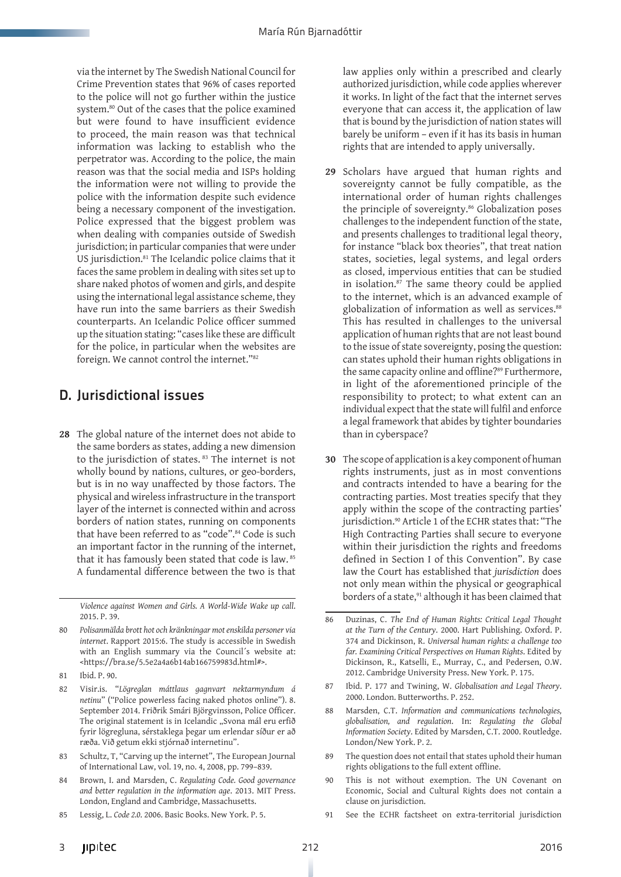via the internet by The Swedish National Council for Crime Prevention states that 96% of cases reported to the police will not go further within the justice system.80 Out of the cases that the police examined but were found to have insufficient evidence to proceed, the main reason was that technical information was lacking to establish who the perpetrator was. According to the police, the main reason was that the social media and ISPs holding the information were not willing to provide the police with the information despite such evidence being a necessary component of the investigation. Police expressed that the biggest problem was when dealing with companies outside of Swedish jurisdiction; in particular companies that were under US jurisdiction.81 The Icelandic police claims that it faces the same problem in dealing with sites set up to share naked photos of women and girls, and despite using the international legal assistance scheme, they have run into the same barriers as their Swedish counterparts. An Icelandic Police officer summed up the situation stating: "cases like these are difficult for the police, in particular when the websites are foreign. We cannot control the internet."82

#### D. Jurisdictional issues

**28** The global nature of the internet does not abide to the same borders as states, adding a new dimension to the jurisdiction of states. 83 The internet is not wholly bound by nations, cultures, or geo-borders, but is in no way unaffected by those factors. The physical and wireless infrastructure in the transport layer of the internet is connected within and across borders of nation states, running on components that have been referred to as "code".<sup>84</sup> Code is such an important factor in the running of the internet, that it has famously been stated that code is law. <sup>85</sup> A fundamental difference between the two is that

*Violence against Women and Girls. A World-Wide Wake up call*. 2015. P. 39.

- 80 *Polisanmälda brott hot och kränkningar mot enskilda personer via internet*. Rapport 2015:6. The study is accessible in Swedish with an English summary via the Council´s website at: <https://bra.se/5.5e2a4a6b14ab166759983d.html#>.
- 81 Ibid. P. 90.
- 82 Visir.is. "*Lögreglan máttlaus gagnvart nektarmyndum á netinu*" ("Police powerless facing naked photos online"). 8. September 2014. Friðrik Smári Björgvinsson, Police Officer. The original statement is in Icelandic "Svona mál eru erfið fyrir lögregluna, sérstaklega þegar um erlendar síður er að ræða. Við getum ekki stjórnað internetinu".
- 83 Schultz, T, "Carving up the internet", The European Journal of International Law, vol. 19, no. 4, 2008, pp. 799–839.
- 84 Brown, I. and Marsden, C. *Regulating Code. Good governance and better regulation in the information age*. 2013. MIT Press. London, England and Cambridge, Massachusetts.
- 85 Lessig, L. *Code 2.0*. 2006. Basic Books. New York. P. 5.

law applies only within a prescribed and clearly authorized jurisdiction, while code applies wherever it works. In light of the fact that the internet serves everyone that can access it, the application of law that is bound by the jurisdiction of nation states will barely be uniform – even if it has its basis in human rights that are intended to apply universally.

- **29** Scholars have argued that human rights and sovereignty cannot be fully compatible, as the international order of human rights challenges the principle of sovereignty.<sup>86</sup> Globalization poses challenges to the independent function of the state, and presents challenges to traditional legal theory, for instance "black box theories", that treat nation states, societies, legal systems, and legal orders as closed, impervious entities that can be studied in isolation.87 The same theory could be applied to the internet, which is an advanced example of globalization of information as well as services.<sup>88</sup> This has resulted in challenges to the universal application of human rights that are not least bound to the issue of state sovereignty, posing the question: can states uphold their human rights obligations in the same capacity online and offline?<sup>89</sup> Furthermore, in light of the aforementioned principle of the responsibility to protect; to what extent can an individual expect that the state will fulfil and enforce a legal framework that abides by tighter boundaries than in cyberspace?
- **30** The scope of application is a key component of human rights instruments, just as in most conventions and contracts intended to have a bearing for the contracting parties. Most treaties specify that they apply within the scope of the contracting parties' jurisdiction.<sup>90</sup> Article 1 of the ECHR states that: "The High Contracting Parties shall secure to everyone within their jurisdiction the rights and freedoms defined in Section I of this Convention". By case law the Court has established that *jurisdiction* does not only mean within the physical or geographical borders of a state,<sup>91</sup> although it has been claimed that

- 87 Ibid. P. 177 and Twining, W. *Globalisation and Legal Theory*. 2000. London. Butterworths. P. 252.
- 88 Marsden, C.T. *Information and communications technologies, globalisation, and regulation*. In: *Regulating the Global Information Society*. Edited by Marsden, C.T. 2000. Routledge. London/New York. P. 2.
- 89 The question does not entail that states uphold their human rights obligations to the full extent offline.
- 90 This is not without exemption. The UN Covenant on Economic, Social and Cultural Rights does not contain a clause on jurisdiction.
- 91 See the ECHR factsheet on extra-territorial jurisdiction

<sup>86</sup> Duzinas, C. *The End of Human Rights: Critical Legal Thought at the Turn of the Century*. 2000. Hart Publishing. Oxford. P. 374 and Dickinson, R. *Universal human rights: a challenge too far. Examining Critical Perspectives on Human Rights*. Edited by Dickinson, R., Katselli, E., Murray, C., and Pedersen, O.W. 2012. Cambridge University Press. New York. P. 175.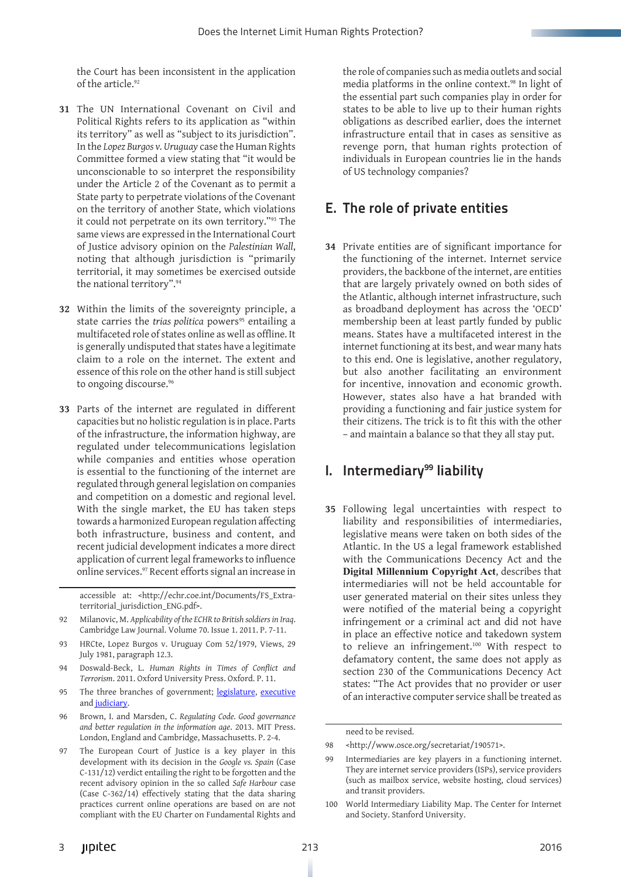the Court has been inconsistent in the application of the article.<sup>92</sup>

- **31** The UN International Covenant on Civil and Political Rights refers to its application as "within its territory" as well as "subject to its jurisdiction". In the *Lopez Burgos v. Uruguay* case the Human Rights Committee formed a view stating that "it would be unconscionable to so interpret the responsibility under the Article 2 of the Covenant as to permit a State party to perpetrate violations of the Covenant on the territory of another State, which violations it could not perpetrate on its own territory."93 The same views are expressed in the International Court of Justice advisory opinion on the *Palestinian Wall*, noting that although jurisdiction is "primarily territorial, it may sometimes be exercised outside the national territory".94
- **32** Within the limits of the sovereignty principle, a state carries the *trias politica* powers<sup>95</sup> entailing a multifaceted role of states online as well as offline. It is generally undisputed that states have a legitimate claim to a role on the internet. The extent and essence of this role on the other hand is still subject to ongoing discourse.<sup>96</sup>
- **33** Parts of the internet are regulated in different capacities but no holistic regulation is in place. Parts of the infrastructure, the information highway, are regulated under telecommunications legislation while companies and entities whose operation is essential to the functioning of the internet are regulated through general legislation on companies and competition on a domestic and regional level. With the single market, the EU has taken steps towards a harmonized European regulation affecting both infrastructure, business and content, and recent judicial development indicates a more direct application of current legal frameworks to influence online services.97 Recent efforts signal an increase in

- 92 Milanovic, M. *Applicability of the ECHR to British soldiers in Iraq*. Cambridge Law Journal. Volume 70. Issue 1. 2011. P. 7-11.
- 93 HRCte, Lopez Burgos v. Uruguay Com 52/1979, Views, 29 July 1981, paragraph 12.3.
- 94 Doswald-Beck, L. *Human Rights in Times of Conflict and Terrorism*. 2011. Oxford University Press. Oxford. P. 11.
- 95 The three branches of government; [legislature,](https://en.wikipedia.org/wiki/Legislature) [executive](https://en.wikipedia.org/wiki/Executive_%28government%29) and [judiciary](https://en.wikipedia.org/wiki/Judiciary).
- 96 Brown, I. and Marsden, C. *Regulating Code. Good governance and better regulation in the information age*. 2013. MIT Press. London, England and Cambridge, Massachusetts. P. 2-4.
- 97 The European Court of Justice is a key player in this development with its decision in the *Google vs. Spain* (Case C-131/12) verdict entailing the right to be forgotten and the recent advisory opinion in the so called *Safe Harbour* case (Case C-362/14) effectively stating that the data sharing practices current online operations are based on are not compliant with the EU Charter on Fundamental Rights and

the role of companies such as media outlets and social media platforms in the online context.98 In light of the essential part such companies play in order for states to be able to live up to their human rights obligations as described earlier, does the internet infrastructure entail that in cases as sensitive as revenge porn, that human rights protection of individuals in European countries lie in the hands of US technology companies?

#### E. The role of private entities

**34** Private entities are of significant importance for the functioning of the internet. Internet service providers, the backbone of the internet, are entities that are largely privately owned on both sides of the Atlantic, although internet infrastructure, such as broadband deployment has across the 'OECD' membership been at least partly funded by public means. States have a multifaceted interest in the internet functioning at its best, and wear many hats to this end. One is legislative, another regulatory, but also another facilitating an environment for incentive, innovation and economic growth. However, states also have a hat branded with providing a functioning and fair justice system for their citizens. The trick is to fit this with the other – and maintain a balance so that they all stay put.

#### I. Intermediary<sup>99</sup> liability

**35** Following legal uncertainties with respect to liability and responsibilities of intermediaries, legislative means were taken on both sides of the Atlantic. In the US a legal framework established with the Communications Decency Act and the **Digital Millennium Copyright Act**, describes that intermediaries will not be held accountable for user generated material on their sites unless they were notified of the material being a copyright infringement or a criminal act and did not have in place an effective notice and takedown system to relieve an infringement.100 With respect to defamatory content, the same does not apply as section 230 of the Communications Decency Act states: "The Act provides that no provider or user of an interactive computer service shall be treated as

accessible at: <http://echr.coe.int/Documents/FS\_Extraterritorial\_jurisdiction\_ENG.pdf>.

need to be revised.

<sup>98</sup> <http://www.osce.org/secretariat/190571>.

<sup>99</sup> Intermediaries are key players in a functioning internet. They are internet service providers (ISPs), service providers (such as mailbox service, website hosting, cloud services) and transit providers.

<sup>100</sup> World Intermediary Liability Map. The Center for Internet and Society. Stanford University.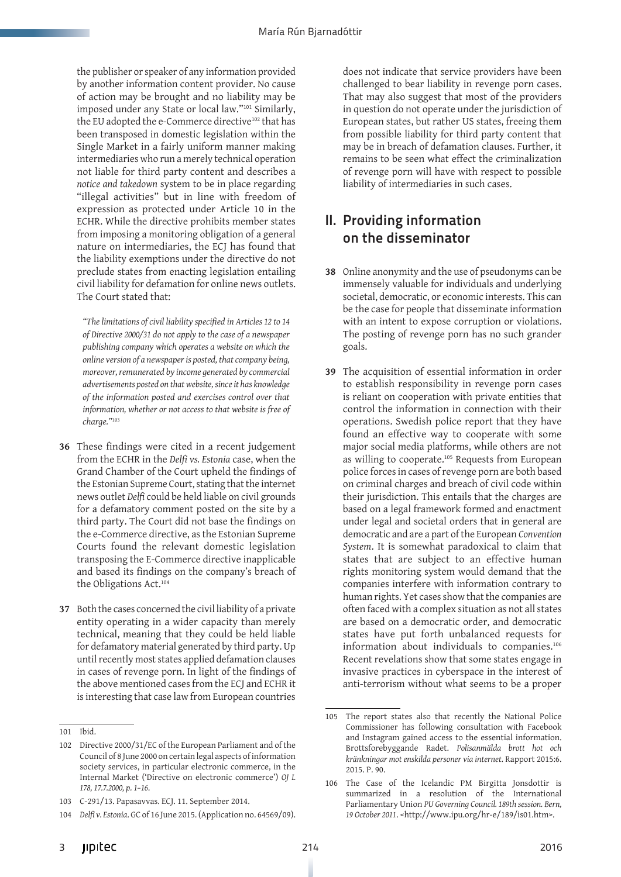the publisher or speaker of any information provided by another information content provider. No cause of action may be brought and no liability may be imposed under any State or local law."101 Similarly, the EU adopted the e-Commerce directive<sup>102</sup> that has been transposed in domestic legislation within the Single Market in a fairly uniform manner making intermediaries who run a merely technical operation not liable for third party content and describes a *notice and takedown* system to be in place regarding "illegal activities" but in line with freedom of expression as protected under Article 10 in the ECHR. While the directive prohibits member states from imposing a monitoring obligation of a general nature on intermediaries, the ECJ has found that the liability exemptions under the directive do not preclude states from enacting legislation entailing civil liability for defamation for online news outlets. The Court stated that:

*"The limitations of civil liability specified in Articles 12 to 14 of Directive 2000/31 do not apply to the case of a newspaper publishing company which operates a website on which the online version of a newspaper is posted, that company being, moreover, remunerated by income generated by commercial advertisements posted on that website, since it has knowledge of the information posted and exercises control over that information, whether or not access to that website is free of charge."*<sup>103</sup>

- **36** These findings were cited in a recent judgement from the ECHR in the *Delfi vs. Estonia* case, when the Grand Chamber of the Court upheld the findings of the Estonian Supreme Court, stating that the internet news outlet *Delfi* could be held liable on civil grounds for a defamatory comment posted on the site by a third party. The Court did not base the findings on the e-Commerce directive, as the Estonian Supreme Courts found the relevant domestic legislation transposing the E-Commerce directive inapplicable and based its findings on the company's breach of the Obligations Act.104
- **37** Both the cases concerned the civil liability of a private entity operating in a wider capacity than merely technical, meaning that they could be held liable for defamatory material generated by third party. Up until recently most states applied defamation clauses in cases of revenge porn. In light of the findings of the above mentioned cases from the ECJ and ECHR it is interesting that case law from European countries

does not indicate that service providers have been challenged to bear liability in revenge porn cases. That may also suggest that most of the providers in question do not operate under the jurisdiction of European states, but rather US states, freeing them from possible liability for third party content that may be in breach of defamation clauses. Further, it remains to be seen what effect the criminalization of revenge porn will have with respect to possible liability of intermediaries in such cases.

#### II. Providing information on the disseminator

- **38** Online anonymity and the use of pseudonyms can be immensely valuable for individuals and underlying societal, democratic, or economic interests. This can be the case for people that disseminate information with an intent to expose corruption or violations. The posting of revenge porn has no such grander goals.
- **39** The acquisition of essential information in order to establish responsibility in revenge porn cases is reliant on cooperation with private entities that control the information in connection with their operations. Swedish police report that they have found an effective way to cooperate with some major social media platforms, while others are not as willing to cooperate.105 Requests from European police forces in cases of revenge porn are both based on criminal charges and breach of civil code within their jurisdiction. This entails that the charges are based on a legal framework formed and enactment under legal and societal orders that in general are democratic and are a part of the European *Convention System*. It is somewhat paradoxical to claim that states that are subject to an effective human rights monitoring system would demand that the companies interfere with information contrary to human rights. Yet cases show that the companies are often faced with a complex situation as not all states are based on a democratic order, and democratic states have put forth unbalanced requests for information about individuals to companies.106 Recent revelations show that some states engage in invasive practices in cyberspace in the interest of anti-terrorism without what seems to be a proper

<sup>101</sup> Ibid.

<sup>102</sup> Directive 2000/31/EC of the European Parliament and of the Council of 8 June 2000 on certain legal aspects of information society services, in particular electronic commerce, in the Internal Market ('Directive on electronic commerce') *OJ L 178, 17.7.2000, p. 1–16*.

<sup>103</sup> C-291/13. Papasavvas. ECJ. 11. September 2014.

<sup>104</sup> *Delfi v. Estonia*. GC of 16 June 2015. (Application no. 64569/09).

<sup>105</sup> The report states also that recently the National Police Commissioner has following consultation with Facebook and Instagram gained access to the essential information. Brottsforebyggande Radet. *Polisanmälda brott hot och kränkningar mot enskilda personer via internet*. Rapport 2015:6. 2015. P. 90.

<sup>106</sup> The Case of the Icelandic PM Birgitta Jonsdottir is summarized in a resolution of the International Parliamentary Union *PU Governing Council. 189th session. Bern, 19 October 2011*. <http://www.ipu.org/hr-e/189/is01.htm>.